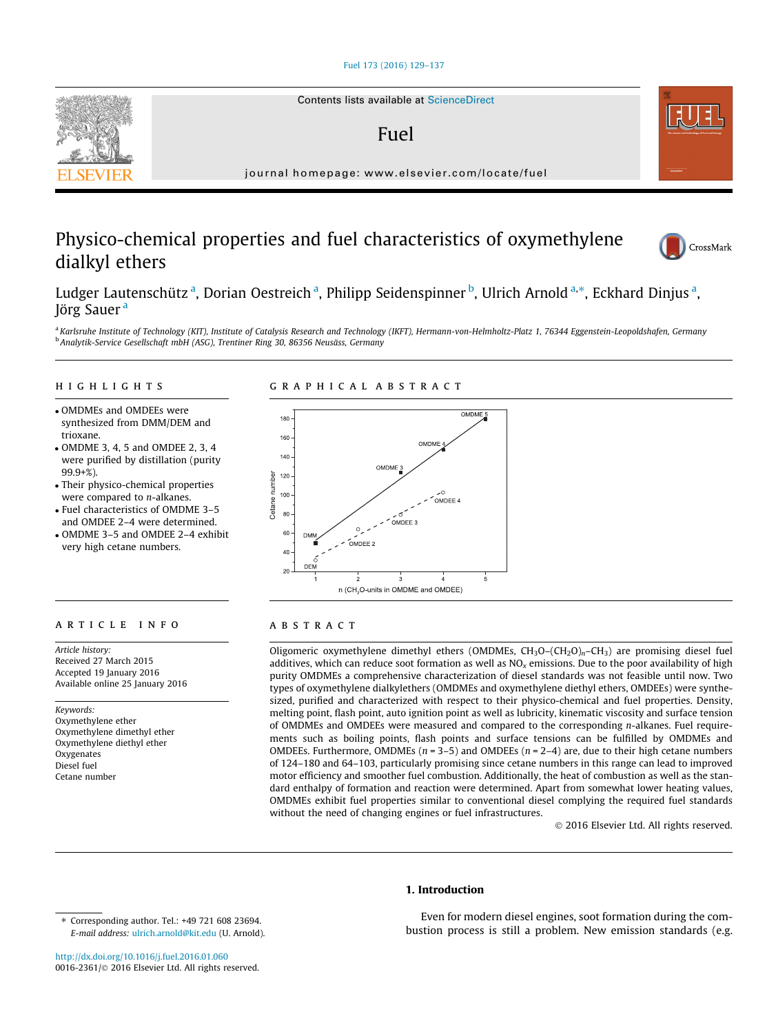### [Fuel 173 \(2016\) 129–137](http://dx.doi.org/10.1016/j.fuel.2016.01.060)

## Fuel

journal homepage: [www.elsevier.com/locate/fuel](http://www.elsevier.com/locate/fuel)

# Physico-chemical properties and fuel characteristics of oxymethylene dialkyl ethers



Ludger Lautenschütz <sup>a</sup>, Dorian Oestreich <sup>a</sup>, Philipp Seidenspinner <sup>b</sup>, Ulrich Arnold <sup>a,</sup>\*, Eckhard Dinjus <sup>a</sup>, Jörg Sauer<sup>a</sup>

a Karlsruhe Institute of Technology (KIT), Institute of Catalysis Research and Technology (IKFT), Hermann-von-Helmholtz-Platz 1, 76344 Eggenstein-Leopoldshafen, Germany <sup>b</sup> Analytik-Service Gesellschaft mbH (ASG), Trentiner Ring 30, 86356 Neusäss, Germany

# highlights are the control of the control of

# graphical abstracts and abstracts abstract abstracts

- OMDMEs and OMDEEs were synthesized from DMM/DEM and trioxane.
- OMDME 3, 4, 5 and OMDEE 2, 3, 4 were purified by distillation (purity 99.9+%).
- Their physico-chemical properties were compared to n-alkanes.
- Fuel characteristics of OMDME 3–5 and OMDEE 2–4 were determined.
- OMDME 3–5 and OMDEE 2–4 exhibit very high cetane numbers.

Article history: Received 27 March 2015 Accepted 19 January 2016 Available online 25 January 2016

Keywords: Oxymethylene ether Oxymethylene dimethyl ether Oxymethylene diethyl ether Oxygenates Diesel fuel Cetane number



Oligomeric oxymethylene dimethyl ethers (OMDMEs,  $CH_2O-(CH_2O)<sub>n</sub>-CH_3$ ) are promising diesel fuel additives, which can reduce soot formation as well as  $NO<sub>x</sub>$  emissions. Due to the poor availability of high purity OMDMEs a comprehensive characterization of diesel standards was not feasible until now. Two types of oxymethylene dialkylethers (OMDMEs and oxymethylene diethyl ethers, OMDEEs) were synthesized, purified and characterized with respect to their physico-chemical and fuel properties. Density, melting point, flash point, auto ignition point as well as lubricity, kinematic viscosity and surface tension of OMDMEs and OMDEEs were measured and compared to the corresponding n-alkanes. Fuel requirements such as boiling points, flash points and surface tensions can be fulfilled by OMDMEs and OMDEEs. Furthermore, OMDMEs ( $n = 3-5$ ) and OMDEEs ( $n = 2-4$ ) are, due to their high cetane numbers of 124–180 and 64–103, particularly promising since cetane numbers in this range can lead to improved motor efficiency and smoother fuel combustion. Additionally, the heat of combustion as well as the standard enthalpy of formation and reaction were determined. Apart from somewhat lower heating values, OMDMEs exhibit fuel properties similar to conventional diesel complying the required fuel standards without the need of changing engines or fuel infrastructures.

2016 Elsevier Ltd. All rights reserved.

### 1. Introduction

Even for modern diesel engines, soot formation during the combustion process is still a problem. New emission standards (e.g.

⇑ Corresponding author. Tel.: +49 721 608 23694. E-mail address: [ulrich.arnold@kit.edu](mailto:ulrich.arnold@kit.edu) (U. Arnold).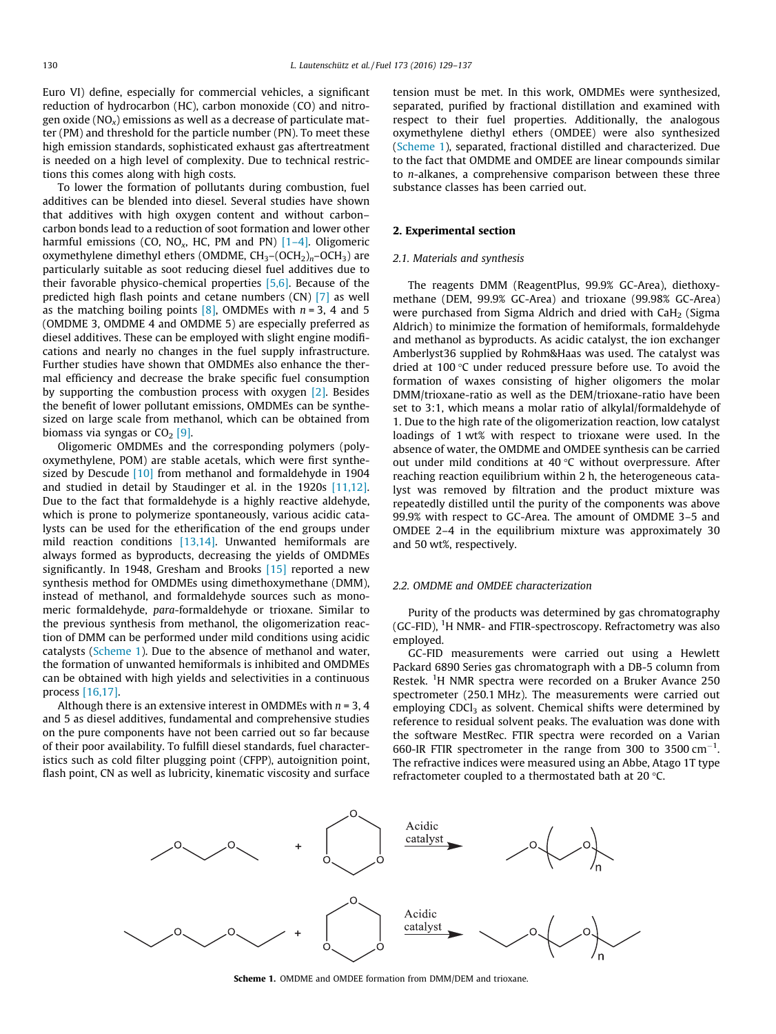Euro VI) define, especially for commercial vehicles, a significant reduction of hydrocarbon (HC), carbon monoxide (CO) and nitrogen oxide ( $NO<sub>x</sub>$ ) emissions as well as a decrease of particulate matter (PM) and threshold for the particle number (PN). To meet these high emission standards, sophisticated exhaust gas aftertreatment is needed on a high level of complexity. Due to technical restrictions this comes along with high costs.

To lower the formation of pollutants during combustion, fuel additives can be blended into diesel. Several studies have shown that additives with high oxygen content and without carbon– carbon bonds lead to a reduction of soot formation and lower other harmful emissions (CO, NO<sub>x</sub>, HC, PM and PN)  $[1-4]$ . Oligomeric oxymethylene dimethyl ethers (OMDME,  $CH_3-(OCH_2)_n-OCH_3$ ) are particularly suitable as soot reducing diesel fuel additives due to their favorable physico-chemical properties [\[5,6\].](#page--1-0) Because of the predicted high flash points and cetane numbers (CN) [\[7\]](#page--1-0) as well as the matching boiling points  $[8]$ , OMDMEs with  $n = 3$ , 4 and 5 (OMDME 3, OMDME 4 and OMDME 5) are especially preferred as diesel additives. These can be employed with slight engine modifications and nearly no changes in the fuel supply infrastructure. Further studies have shown that OMDMEs also enhance the thermal efficiency and decrease the brake specific fuel consumption by supporting the combustion process with oxygen [\[2\].](#page--1-0) Besides the benefit of lower pollutant emissions, OMDMEs can be synthesized on large scale from methanol, which can be obtained from biomass via syngas or  $CO<sub>2</sub>$  [\[9\]](#page--1-0).

Oligomeric OMDMEs and the corresponding polymers (polyoxymethylene, POM) are stable acetals, which were first synthe-sized by Descude [\[10\]](#page--1-0) from methanol and formaldehyde in 1904 and studied in detail by Staudinger et al. in the 1920s [\[11,12\].](#page--1-0) Due to the fact that formaldehyde is a highly reactive aldehyde, which is prone to polymerize spontaneously, various acidic catalysts can be used for the etherification of the end groups under mild reaction conditions [\[13,14\]](#page--1-0). Unwanted hemiformals are always formed as byproducts, decreasing the yields of OMDMEs significantly. In 1948, Gresham and Brooks [\[15\]](#page--1-0) reported a new synthesis method for OMDMEs using dimethoxymethane (DMM), instead of methanol, and formaldehyde sources such as monomeric formaldehyde, para-formaldehyde or trioxane. Similar to the previous synthesis from methanol, the oligomerization reaction of DMM can be performed under mild conditions using acidic catalysts (Scheme 1). Due to the absence of methanol and water, the formation of unwanted hemiformals is inhibited and OMDMEs can be obtained with high yields and selectivities in a continuous process [\[16,17\]](#page--1-0).

Although there is an extensive interest in OMDMEs with  $n = 3, 4$ and 5 as diesel additives, fundamental and comprehensive studies on the pure components have not been carried out so far because of their poor availability. To fulfill diesel standards, fuel characteristics such as cold filter plugging point (CFPP), autoignition point, flash point, CN as well as lubricity, kinematic viscosity and surface

tension must be met. In this work, OMDMEs were synthesized, separated, purified by fractional distillation and examined with respect to their fuel properties. Additionally, the analogous oxymethylene diethyl ethers (OMDEE) were also synthesized (Scheme 1), separated, fractional distilled and characterized. Due to the fact that OMDME and OMDEE are linear compounds similar to n-alkanes, a comprehensive comparison between these three substance classes has been carried out.

### 2. Experimental section

### 2.1. Materials and synthesis

The reagents DMM (ReagentPlus, 99.9% GC-Area), diethoxymethane (DEM, 99.9% GC-Area) and trioxane (99.98% GC-Area) were purchased from Sigma Aldrich and dried with  $CaH<sub>2</sub>$  (Sigma) Aldrich) to minimize the formation of hemiformals, formaldehyde and methanol as byproducts. As acidic catalyst, the ion exchanger Amberlyst36 supplied by Rohm&Haas was used. The catalyst was dried at 100 $\degree$ C under reduced pressure before use. To avoid the formation of waxes consisting of higher oligomers the molar DMM/trioxane-ratio as well as the DEM/trioxane-ratio have been set to 3:1, which means a molar ratio of alkylal/formaldehyde of 1. Due to the high rate of the oligomerization reaction, low catalyst loadings of 1 wt% with respect to trioxane were used. In the absence of water, the OMDME and OMDEE synthesis can be carried out under mild conditions at 40  $\degree$ C without overpressure. After reaching reaction equilibrium within 2 h, the heterogeneous catalyst was removed by filtration and the product mixture was repeatedly distilled until the purity of the components was above 99.9% with respect to GC-Area. The amount of OMDME 3–5 and OMDEE 2–4 in the equilibrium mixture was approximately 30 and 50 wt%, respectively.

### 2.2. OMDME and OMDEE characterization

Purity of the products was determined by gas chromatography (GC-FID), <sup>1</sup>H NMR- and FTIR-spectroscopy. Refractometry was also employed.

GC-FID measurements were carried out using a Hewlett Packard 6890 Series gas chromatograph with a DB-5 column from Restek. <sup>1</sup>H NMR spectra were recorded on a Bruker Avance 250 spectrometer (250.1 MHz). The measurements were carried out employing  $CDCl<sub>3</sub>$  as solvent. Chemical shifts were determined by reference to residual solvent peaks. The evaluation was done with the software MestRec. FTIR spectra were recorded on a Varian 660-IR FTIR spectrometer in the range from 300 to 3500  $cm^{-1}$ . The refractive indices were measured using an Abbe, Atago 1T type refractometer coupled to a thermostated bath at 20 $\degree$ C.



Scheme 1. OMDME and OMDEE formation from DMM/DEM and trioxane.